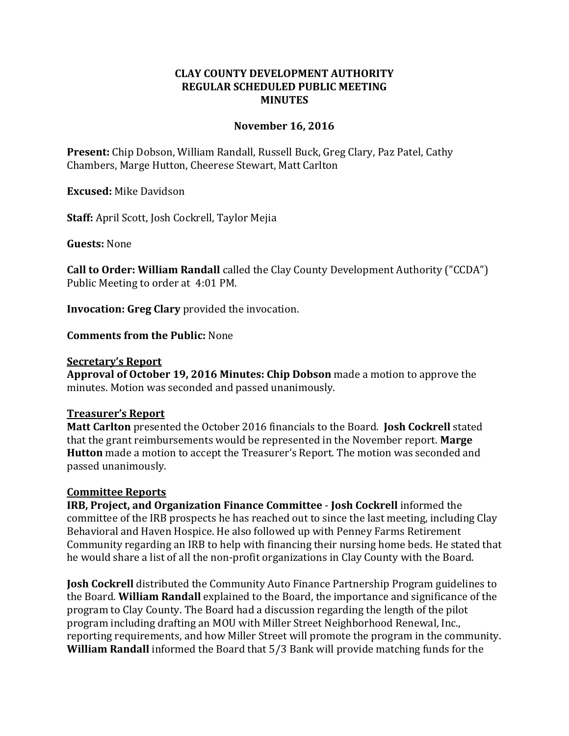## **CLAY COUNTY DEVELOPMENT AUTHORITY REGULAR SCHEDULED PUBLIC MEETING MINUTES**

## **November 16, 2016**

**Present:** Chip Dobson, William Randall, Russell Buck, Greg Clary, Paz Patel, Cathy Chambers, Marge Hutton, Cheerese Stewart, Matt Carlton

**Excused:** Mike Davidson

**Staff:** April Scott, Josh Cockrell, Taylor Mejia

**Guests:** None

**Call to Order: William Randall** called the Clay County Development Authority ("CCDA") Public Meeting to order at 4:01 PM.

**Invocation: Greg Clary** provided the invocation.

**Comments from the Public:** None

### **Secretary's Report**

**Approval of October 19, 2016 Minutes: Chip Dobson** made a motion to approve the minutes. Motion was seconded and passed unanimously.

### **Treasurer's Report**

**Matt Carlton** presented the October 2016 financials to the Board. **Josh Cockrell** stated that the grant reimbursements would be represented in the November report. **Marge Hutton** made a motion to accept the Treasurer's Report. The motion was seconded and passed unanimously.

### **Committee Reports**

**IRB, Project, and Organization Finance Committee** - **Josh Cockrell** informed the committee of the IRB prospects he has reached out to since the last meeting, including Clay Behavioral and Haven Hospice. He also followed up with Penney Farms Retirement Community regarding an IRB to help with financing their nursing home beds. He stated that he would share a list of all the non-profit organizations in Clay County with the Board.

**Josh Cockrell** distributed the Community Auto Finance Partnership Program guidelines to the Board. **William Randall** explained to the Board, the importance and significance of the program to Clay County. The Board had a discussion regarding the length of the pilot program including drafting an MOU with Miller Street Neighborhood Renewal, Inc., reporting requirements, and how Miller Street will promote the program in the community. **William Randall** informed the Board that 5/3 Bank will provide matching funds for the